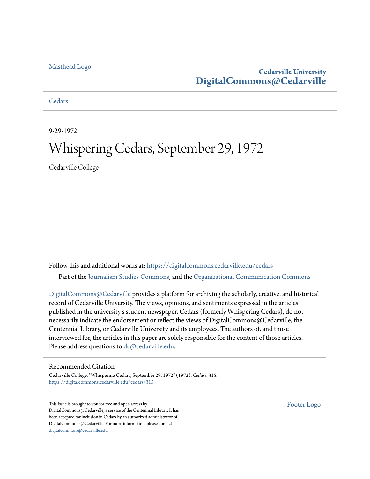#### [Masthead Logo](http://www.cedarville.edu/?utm_source=digitalcommons.cedarville.edu%2Fcedars%2F315&utm_medium=PDF&utm_campaign=PDFCoverPages)

#### **Cedarville University [DigitalCommons@Cedarville](https://digitalcommons.cedarville.edu?utm_source=digitalcommons.cedarville.edu%2Fcedars%2F315&utm_medium=PDF&utm_campaign=PDFCoverPages)**

**[Cedars](https://digitalcommons.cedarville.edu/cedars?utm_source=digitalcommons.cedarville.edu%2Fcedars%2F315&utm_medium=PDF&utm_campaign=PDFCoverPages)** 

9-29-1972

### Whispering Cedars, September 29, 1972

Cedarville College

Follow this and additional works at: [https://digitalcommons.cedarville.edu/cedars](https://digitalcommons.cedarville.edu/cedars?utm_source=digitalcommons.cedarville.edu%2Fcedars%2F315&utm_medium=PDF&utm_campaign=PDFCoverPages) Part of the [Journalism Studies Commons](http://network.bepress.com/hgg/discipline/333?utm_source=digitalcommons.cedarville.edu%2Fcedars%2F315&utm_medium=PDF&utm_campaign=PDFCoverPages), and the [Organizational Communication Commons](http://network.bepress.com/hgg/discipline/335?utm_source=digitalcommons.cedarville.edu%2Fcedars%2F315&utm_medium=PDF&utm_campaign=PDFCoverPages)

[DigitalCommons@Cedarville](http://digitalcommons.cedarville.edu/) provides a platform for archiving the scholarly, creative, and historical record of Cedarville University. The views, opinions, and sentiments expressed in the articles published in the university's student newspaper, Cedars (formerly Whispering Cedars), do not necessarily indicate the endorsement or reflect the views of DigitalCommons@Cedarville, the Centennial Library, or Cedarville University and its employees. The authors of, and those interviewed for, the articles in this paper are solely responsible for the content of those articles. Please address questions to [dc@cedarville.edu.](mailto:dc@cedarville.edu)

#### Recommended Citation

Cedarville College, "Whispering Cedars, September 29, 1972" (1972). *Cedars*. 315. [https://digitalcommons.cedarville.edu/cedars/315](https://digitalcommons.cedarville.edu/cedars/315?utm_source=digitalcommons.cedarville.edu%2Fcedars%2F315&utm_medium=PDF&utm_campaign=PDFCoverPages)

This Issue is brought to you for free and open access by DigitalCommons@Cedarville, a service of the Centennial Library. It has been accepted for inclusion in Cedars by an authorized administrator of DigitalCommons@Cedarville. For more information, please contact [digitalcommons@cedarville.edu](mailto:digitalcommons@cedarville.edu).

[Footer Logo](http://www.cedarville.edu/Academics/Library.aspx?utm_source=digitalcommons.cedarville.edu%2Fcedars%2F315&utm_medium=PDF&utm_campaign=PDFCoverPages)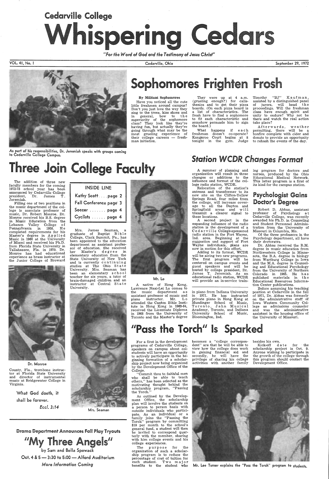# Cedarville College Whispering Cedars

*"For the Word of God and the Testimony of Jesus Christ"* 

VOL. 41, No. I



As part of his responsibilities, Dr. Jeremiah speaks with groups coming to Cedarville College Campus.

# **Three Join College Faculty** Station WCDR Changes Format **Three Join College Format**

Cedarville, Ohio September 29, 1972

#### By Militant Sophomores

Have you noticed all the cute little freshmen around campus? Don't you just love the way they sing to the trees, kiss shoes and in general, bow to the superiority of the sophomore class? They look like they're having fun, but actually they're going through what may be the most grueling experience of  $t$ heir college careers  $-$  freshman initiation.

Timothy "BJ" Kaufman, assisted by a distinguished panel of jurors, will head the proceedings. Will the freshman class have enough spirit and unity to endure? Why not be there and watch the real action take place?

They were up at 4 a.m. (grueling enough?) for calisthenics and to get their pizza boards. (On each pizza board is a list of characteristics. The frosh have to find a sophomore to fit each characteristic and somehow persuade him to sign the board.)

What happens if each freshman doesn't co-operate? Kangaroo Court begins at 8 tonight in the gym. Judge

Afterwards, weather permitting, there will be a bonfire complete with cider and donuts to provide an opportunity to rehash the events of the day.

changes or additions to the influence and format of the college radio station, WCDR.

ing program for doctors and nurses, produced by the Ohio Educational Medical Network. This latter program is a first of its kind for the campus station.

"My Three Angels" by Sam and Bella Spewack Oct. 4 & 5-3:30 to 5:00-Alford Auditorium *More Information Coming* 

The addition of three new faculty members for the coming 1972-73 school year has been announced by Cedarville College president, Dr. James T. Jeremiah.

Filling one of two positions in the music department of the college is associate professor of music, Dr. Robert Monroe. Dr. Monroe received his B.S. degree in Music Education from the Lebanon Valley College of Pennsylvania in 1958. He completed requirements for his Master's degree in Applied Music in 1960 at the University of Miami and received his Ph.D. from Florida State University in Tallahassee, Fla. in 1970. Dr. Monroe has had educational experience as brass instructor at the Junior College of Broward



Dr. Monroe

County, Fla., trombone instructor at Florida State University and director of instrumental music at Bridgewater College in Virginia.

> What God doeth, it shall be forever.

> > *Eccl. 3:14*

| <b>INSIDE LINE</b>     |
|------------------------|
| Kathy Scottpage 2      |
| Fall Conference page 3 |
| Soccer  page 4         |
| Cyclists  page 4       |

Mrs. James Seaman, a graduate of Baptist Bible College, Clark Summit, Pa., has been appointed to the education department as assistant professor of education. She received her Master's degree in elementary education from the State University of New York and is currently continuing<br>studies at The Ohio State<br>University. Mrs. Seaman has been an elementary school teacher for six years, a tutor of brain-damaged children and an instructor at Central State University.



## **Sophomores Frighten Frosh**

Mrs. Seaman

Drama Department Announces Fall Play Tryouts

Kick-off date for the scholarship project is Oct. 9.

Mr. lo A native of Hong Kong, Lawrence Naai-Lei Lo comes to the music department a s assistant professor of music and piano instructor. Mr. Lo attended the Canton Bible Institute in Hong Kong in 1963-64, received the Licentiate Diploma in 1968 from the University of Toronto and the Master's degree

Relocation of the station's antenna and transformer to its new site on the Clifton-Yellow Springs Road, four miles from the college, will increase coverage to all the Dayton and Springfield areas and will transmit a clearer signal to these locations.

A second project in the expanding influence of the radio \_station is the development of a C e d a r v i 11 e College-sponsored radio station in the Fort Wayne, Ind. area. Beginning at the suggestion and support of Fort Wayne individuals, plans are now in motion for this effort.

Adding to its format, WCDR will be airing two new programs. The first program will be centered on campus events and guest speakers and will be hosted by college president, Dr. James T. Jeremiah. As an educational radio station, WCDR will provide an in-service train-

in piano from Indiana University in 1971. He has instructed private piano in Hong Kong at Mundinger School of Music, Toronto, Jahn Musical Academy, Toronto, and Indiana University School of Music, Bloomington, Ind.

### Psychologist Gains Doctor's Degree

Robert D. Abbas, assistant professor of Psychology at Cedarville College, was recently awarded his Ph.D. in Counseling and Student Personnel Administration from the University of Missouri in Columbia, Mo.

Of the three professors in the Psychology department, all have their d0ctorates.

Dr. Abbas received the B.M. degree in music education from Northwestern College in Minnesota, the B.A. degree in biology from Wartburg College in Iowa and the M.A. degree in Counseling and Educational Psychology from the University of Northern Colorado in 1965. He has published materials in th e Educational Resources Information Center publications.

Before assuming his teaching position at Cedarville in the fall of 1971, Dr. Abbas was formerly on the administrative staff of Iowa Western Community College as admissions counselor and was the administrative assistant in the housing office of the University of Missouri.

### "Pass the Torch" Is Sparked

programs of Cedarville College, speakers on campus about colstudents will have an opportunity to actively participate in the beginning formation of a scholarship project now being organized by the Development Office of the College. "Commit thou to faithful men who shall be able to teach others," has been selected as the motivating thought behind the scholarship program, "Passing the Torch." As outlined by the Development Office, the scholarship plan will involve the students on a person to person basis with outside individuals who participate. As an individual or a family joins the "Passing the Torch" program by committing \$10 per month to the school's general fund, a student will then be invited to correspond quarterly with the member, sharing with him college events and his college experiences. The purpose for the organization of such a scholarship program is to reduce the percentage of cost of tuition for each student. Two major benefits to the student who

For a first in the development becomes a "college correspondent" are that he will be able to view how the college does work in gaining financial aid and secondly, he will have the privilege of sharing his college activities with another family

besides his own.

Anyone wishing to participate in the growth of the college through this program should contact the Development Office.



Mr. lee Turner explains the "Pass the Torch" program to students.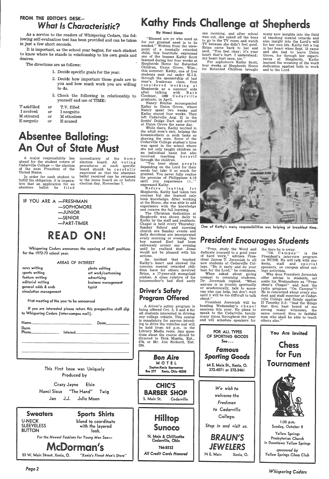### FROM THE EDITOR'S DESK*h,af Is Characteristic?*

As a service to the readers of Whispering Cedars, the following self-evaluation test has been provided and can be taken in just a few short seconds.

It is important, as the school year begins, for each student to know where he stands in relationship to his own goals and desires.

### bsentee Balloting: An Out of State Must

The directions are as follows:

In order for each student to fulfill his obligation, it is impera tive that an application for an<br>absentee ballot be filed filed

IF YOU ARE A -FRESHMAN

- 1. Decide specific goals for the year.
- 2. Decide how important those goals are to you and how much work you are willing to do.
- 3. Check the following in relationship to yourself and use of TIME:

immediately at his home election board. All voting procedures at each specific board should be carefully examined so that the absentee ballot received can be returned to the home board on or before election day, November 7.

| or | T.V. filled |
|----|-------------|
| or | I neognito  |
| or | M otionless |
| or | E xcused    |
|    |             |

Whispering Cedars announces the opening of staff positions for the 1972-73 school year.

<sup>A</sup>major responsibility lies ahead for the student voters of Cedarville College - the election of the next President of the United States.



#### AREAS OF INTEREST

news writing sports writing feature writing editorial writing general odds & ends circulation management

photo editing art work/cartooning advertising business management typist

First meeting of the year to be announced

While there, Kathy worked in the adult men's unit, helping the housemothers in such tasks as shaving the men. Some of the Cedarville College student's time was spent in the school where she not only taught children on an individual basis but also received teaching herself through the children.

If you are interested please return this prospective staff slip to Whispering Cedars (inter-campus mail).

'You hear about people depending on the Lord for their needs but take it so much for granted. You never fully realize the promise of Philippians 4:19 until you experience it,'' expressed Kathy.

| Name______ |                       | Dorm |
|------------|-----------------------|------|
| Dorm       | Interest_____________ |      |
|            |                       | ٠    |
|            |                       |      |

### Kathy Finds Challenge at Shepherds

*Pagel* 

#### By Nanci Sioux

"Blessed are ye who need us for our greatest need is to be needed." Written from the viewpoint of a mentally retarded child, this beatitude expressed one of the lessons Kathy Scott learned during her four weeks at Shepherds Home for Retarded Children, Union Grove, Wisc., this summer. Kathy, one of five students sent out under M.I.S. through the sponsorship of last year's freshman class, first considered working at Shepherds as a summer aide after talking with Barb Cleckner, 1969 Cedarville graduate, in April.

Kathy to Union Grove, where Nancy spent two weeks and<br>Kathy stayed four weeks. They left Cedarville Aug. 21 in the Scotts' Dodge Dart and arrived<br>at Union Grove the same day.

> the days he is away.<br>
> "On Campus". "On Campus" is the President's interview program on WCDR. He will talk with students, staff and special speakers, on campus about college activities.

Before leaving for Shepherds, Kathy had taken two courses but she learned only book knowledge. After working at the Home, she was able to add experience with the knowledge and receive the full learning.

The Christian dedication at Shepherds was shown daily to Kathy by the staff and residents. Chapel is held every Thursday;<br>Sunday School and morning church are Sunday events and daily devotions are incorporated every morning or evening. One boy named Earl had been extremely ornery one evening until he realized that Jesus would not be pleased with his actions.

An incident that touched Kathy's heart and showed the concern mental retarded children have for others involved Brian, a 17-year-old mongoloid orphan. A close relative of his housemother's had died early

### Driver's Safety Program Offered

<sup>A</sup>driver's safety program is being offered Oct. 2, 3 and 4 for all students interested in driving any college vehicle. This course is mandatory for anyone intending to drive the vehicles and will be held from 4-5 p.m. in the



one morning, and after school was out, she asked all the boys to go to the TV room and watch<br>TV because she didn't feel good. TV because she didn't feel good. Brian came back to her and said, "You feel okay; it's your heart that's hurt. I understand; my heart hurt once, too."

For sophomore Kathy Scott, four weeks at Shepherds Home for Retarded Children brought

many new insights into the field of teaching mental retards and also insight into the Lord's will in her heart when Sept. 15 came and she had to leave Union Grove, for through her experiences at Shepherds, Kathy learned the meaning of the word dedication applied both to work and to the Lord.



One of Kathy's many responsibilities was helping at breakfast time.

### **President Encourages Students**

"Pray, study the Word and dedicate yourself to a good year of hard work," advises President James T. Jeremiah to all new students at Cedarville College. "Do it early and do your best for the Lord," he continues.

When asked about giving counsel to returning students, Dr. Jeremiah replied, "When anyone is in trouble spiritually or academically, talk to someone who can help, but don't wait until it will be too difficult to talk about."

President Jeremiah will be heading Wednesday's ch a p e 1 sessions this year. He plans to speak to the Cedarville family many times throughout the year and will schedule speakers for

Why does President Jeremiah offer advise to students, set aside his Wednesdays as "President's Chapel" and host the radio program "On Campus"? He is concerned about every student and staff member at Cedarville College and firmly applies<br>II Timothy 2:2: "And the things that thou hast heard of me among many witnesses, the same commit thou to faithful men who shall be able to teach others also."

*Whispering Ceclars*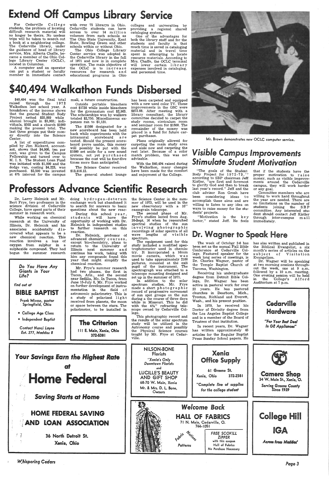### Extend Off Campus Library Service

Cedarville students, the problem of locating difficult research material will no longer be theirs. No useless trips will be taken to search out <sup>a</sup>book at a neighboring college. The Cedarville library, under the guidance of head of library service, Mrs. Alberta Chaffe, became a member of the Ohio College Library Center (OCLC), located in Columbus.

A computer and an operator can put a student or faculty member in immediate contact

with over 75 librarys in Ohio. Cedarville students can have access to over 14 million volumes from such schools as The Ohio State University, Kent State, Bowling Green and other schools within or without Ohio.

The Ohio College Library Center service was adopted in the Cedarville library in the fall of 1971 and now is in complete operation. The main objective of the OCLC *is* to *in* c re a s e resources for research and educational programs in Ohio

colleges and universities by providing a regional shared cataloging system.

One of the advantages for both the library staff and for the students and faculty is that much time is saved in cataloging material and in travel time spent in attempting to locate resource materials. According to Mrs. Chaffe, the OCLC terminal will lower certain library expenses involved in cataloging, and personnel time.

### \$40,494 Walkathon Funds Disbersed

\$40,494 was the final total raised through the 1972 Walkathon last school year. A breakdown of the income shows that the general Student Body Project netted \$35,089 while alumni brought in \$3,903; individuals, \$502 and a church \$1000 making the present total. The last three groups put their money directly into the Science Center.

A list of expenditures compiled by Jim Rickard, accountant, shows that \$4,000, ten per cent, was given to the Campus Fellowship and turned over to M. I. S. The Student Loan Fund was initiated with \$1,000 and the dodge van, costing \$4,223, was purchased. \$2,500 was invested at 6% interest for the campus

mall, a future construction.

Outside portable bleachers cost \$1738 while inside bleachers for the gymnasium cost \$2,963. The scholarships won by walkers totaled \$2, 750. Miscellaneous expenses ran to \$1,131.

The \$1500 designated for <sup>a</sup> new scoreboard has been held back while experiments with the intramural scoreboard a r e tested. Should the present scoreboard prove usable, this money will possibly be put with the \$1000 set aside for a new sound system, not yet p u r ch a s e d because the cost will be four-five times more than anticipated.

doing hydrogen-deterum exchange work but abandoned it to search for answers to basic questions about the new reac-

During this school year, students will have the opportunity of working with Dr. Helmick in independent studies to further research on this reaction.

The Science Center received \$13,816.12.

The general student lounge

Mr. Frye's summer research had two phases, the first in Tucon, Ariz., and the second near Sedilia, Mo. In Tucon, from June 15-July 6, Mr. Frye worked on further development of instrumentation in the field of

has been carpeted and equipped with a new used color TV. These improvements in the GSC were \$872.88. After meeting with <sup>a</sup> library consultant, the library committee decided to carpet the study rooms, cirriculum room and seminar room for \$1500. The remainder of the money was placed in a fund for future carpet purchases.

Plans originally allowed for carpeting the main study area and aisle now and carpeting the rest later. Because of a color match problem, this was not advisable.

> "Motivation is the key factor," stated Jeff. He feels

With the \$40,494 raised during the Walkathon, many changes have been made for the comfort and enjoyment of the College.

Professors Advance Scientific Research



Mr. Brown demonstrates new OCLC computer service.

### **Visible Campus Improvements** *<u>Stimulate Student Motivation</u>*

"The goals of the Student Body Project for 1972-73,'' according to SBP chairman Jeff Kistler, "are first and foremost to glorify God and then to break last year's record." Jeff and the club advisor Ron Grosh have been considering ideas to accomplish these aims and are willing to listen to any idea on ways to raise money for the students' projects.

The week of October 2-6 has been set as the annual Fall Bible Conference at Cedarville College. Featured speaker for the week long series of meetings, is Dr. Charles Wagner, pastor of the Temple Baptist Church of Tacoma, Washington.

that if the students have the proper motivation to raise money, such as visible improvements around the Cedarville campus, they will work harder or any goal.

Committee members who are willing to work hard throughout the year are needed. There are no limitations on the number of students joining the SB P committee. Any interested student should contact Jeff Kistler through inter-campus mail immediately.

### Dr. Wagner to Speak Here

Dr. Larry Helmick and Mr. Bert Frye, two professors in the science division of Cedarville College, have spent parts of their summer in research work.

While working on chemical research at the University of Illinois, Dr. Helmick and his associates accidentally discovered what appears to be <sup>a</sup> new chemical reaction. This reaction involves a loss of oxygen from sulphur in <sup>a</sup> sulphoxide compound. They had begun the summer research



Dr. Helmick, professor of advanced chemistry <sup>c</sup>ours e s , except bio-chemistry, plans to return to the University of Illinois next summer and continue his work, taking with him any compounds found this year that might simplify the chemical reaction.

*W.bispering Cedars* 

the Science Center in the summer of 1973, will be used in the new observatory with a 16" cassegrain telescope.

The second phase of Mr. Frye's studies lasted from Aug. 30-Sept. 16 when he researched spectral studies of the sun involving photographic recordings of solar spectra of all wave lengths of visible spectrum. .

The equipment used for this study included a modified spectrophotometer used in chemistry. It incorporated a 16mm movie camera, which was used to take approximately 2100 pictures, mounted at the exit pupil of the instrument. The spectrograph was attached to <sup>a</sup> telescope mounting designed and set up in the summer of 1971.

In addition to the solar spectrum studies, Mr. Frye made a short photographic record of progressive movement during a the course of three days

Receiving his undergraduate degree from Detroit Bible College, Dr. Wagner has been active in pastoral work for over 22 years. He has pastored



has also written and published in the Biblical Evangelist, a six month's series of articles on the subject of Visitation Evangelism.

Dr. Wagner will be speaking at two morning sessions throughout the week, one at 9 a.m. followed by a 10 a.m. meeting. One evening session will be held in the College's Alford Auditorium at 7 p.m.